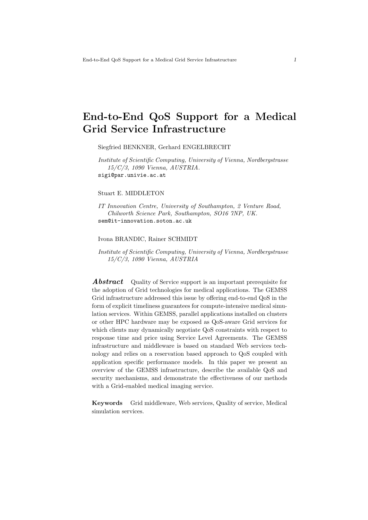# End-to-End QoS Support for a Medical Grid Service Infrastructure

Siegfried BENKNER, Gerhard ENGELBRECHT

Institute of Scientific Computing, University of Vienna, Nordbergstrasse 15/C/3, 1090 Vienna, AUSTRIA. sigi@par.univie.ac.at

#### Stuart E. MIDDLETON

IT Innovation Centre, University of Southampton, 2 Venture Road, Chilworth Science Park, Southampton, SO16 7NP, UK. sem@it-innovation.soton.ac.uk

#### Ivona BRANDIC, Rainer SCHMIDT

Institute of Scientific Computing, University of Vienna, Nordbergstrasse 15/C/3, 1090 Vienna, AUSTRIA

**Abstract** Quality of Service support is an important prerequisite for the adoption of Grid technologies for medical applications. The GEMSS Grid infrastructure addressed this issue by offering end-to-end QoS in the form of explicit timeliness guarantees for compute-intensive medical simulation services. Within GEMSS, parallel applications installed on clusters or other HPC hardware may be exposed as QoS-aware Grid services for which clients may dynamically negotiate QoS constraints with respect to response time and price using Service Level Agreements. The GEMSS infrastructure and middleware is based on standard Web services technology and relies on a reservation based approach to QoS coupled with application specific performance models. In this paper we present an overview of the GEMSS infrastructure, describe the available QoS and security mechanisms, and demonstrate the effectiveness of our methods with a Grid-enabled medical imaging service.

Keywords Grid middleware, Web services, Quality of service, Medical simulation services.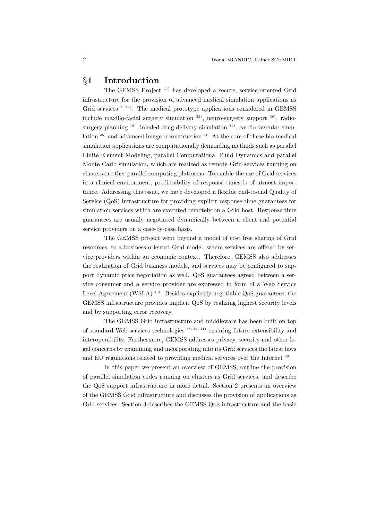### §1 Introduction

The GEMSS Project 17) has developed a secure, service-oriented Grid infrastructure for the provision of advanced medical simulation applications as Grid services <sup>4, 22)</sup>. The medical prototype applications considered in GEMSS include maxillo-facial surgery simulation  $23$ , neuro-surgery support  $36$ , radiosurgery planning  $^{16}$ , inhaled drug-delivery simulation  $^{24}$ , cardio-vascular simulation  $25$  and advanced image reconstruction  $3$ . At the core of these bio-medical simulation applications are computationally demanding methods such as parallel Finite Element Modeling, parallel Computational Fluid Dynamics and parallel Monte Carlo simulation, which are realized as remote Grid services running on clusters or other parallel computing platforms. To enable the use of Grid services in a clinical environment, predictability of response times is of utmost importance. Addressing this issue, we have developed a flexible end-to-end Quality of Service (QoS) infrastructure for providing explicit response time guarantees for simulation services which are executed remotely on a Grid host. Response time guarantees are usually negotiated dynamically between a client and potential service providers on a case-by-case basis.

The GEMSS project went beyond a model of cost free sharing of Grid resources, to a business oriented Grid model, where services are offered by service providers within an economic context. Therefore, GEMSS also addresses the realization of Grid business models, and services may be configured to support dynamic price negotiation as well. QoS guarantees agreed between a service consumer and a service provider are expressed in form of a Web Service Level Agreement (WSLA) 40). Besides explicitly negotiable QoS guarantees, the GEMSS infrastructure provides implicit QoS by realizing highest security levels and by supporting error recovery.

The GEMSS Grid infrastructure and middleware has been built on top of standard Web services technologies 35, 39, 41) ensuring future extensibility and interoperability. Furthermore, GEMSS addresses privacy, security and other legal concerns by examining and incorporating into its Grid services the latest laws and EU regulations related to providing medical services over the Internet <sup>29)</sup>.

In this paper we present an overview of GEMSS, outline the provision of parallel simulation codes running on clusters as Grid services, and describe the QoS support infrastructure in more detail. Section 2 presents an overview of the GEMSS Grid infrastructure and discusses the provision of applications as Grid services. Section 3 describes the GEMSS QoS infrastructure and the basic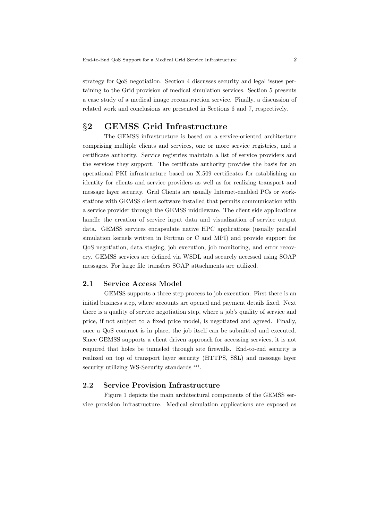End-to-End QoS Support for a Medical Grid Service Infrastructure 3

strategy for QoS negotiation. Section 4 discusses security and legal issues pertaining to the Grid provision of medical simulation services. Section 5 presents a case study of a medical image reconstruction service. Finally, a discussion of related work and conclusions are presented in Sections 6 and 7, respectively.

### §2 GEMSS Grid Infrastructure

The GEMSS infrastructure is based on a service-oriented architecture comprising multiple clients and services, one or more service registries, and a certificate authority. Service registries maintain a list of service providers and the services they support. The certificate authority provides the basis for an operational PKI infrastructure based on X.509 certificates for establishing an identity for clients and service providers as well as for realizing transport and message layer security. Grid Clients are usually Internet-enabled PCs or workstations with GEMSS client software installed that permits communication with a service provider through the GEMSS middleware. The client side applications handle the creation of service input data and visualization of service output data. GEMSS services encapsulate native HPC applications (usually parallel simulation kernels written in Fortran or C and MPI) and provide support for QoS negotiation, data staging, job execution, job monitoring, and error recovery. GEMSS services are defined via WSDL and securely accessed using SOAP messages. For large file transfers SOAP attachments are utilized.

#### 2.1 Service Access Model

GEMSS supports a three step process to job execution. First there is an initial business step, where accounts are opened and payment details fixed. Next there is a quality of service negotiation step, where a job's quality of service and price, if not subject to a fixed price model, is negotiated and agreed. Finally, once a QoS contract is in place, the job itself can be submitted and executed. Since GEMSS supports a client driven approach for accessing services, it is not required that holes be tunneled through site firewalls. End-to-end security is realized on top of transport layer security (HTTPS, SSL) and message layer security utilizing WS-Security standards <sup>41</sup>.

#### 2.2 Service Provision Infrastructure

Figure 1 depicts the main architectural components of the GEMSS service provision infrastructure. Medical simulation applications are exposed as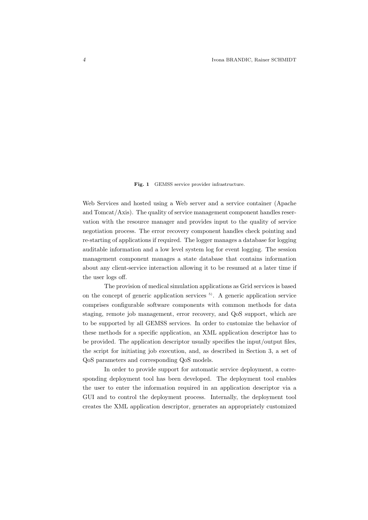Fig. 1 GEMSS service provider infrastructure.

Web Services and hosted using a Web server and a service container (Apache and Tomcat/Axis). The quality of service management component handles reservation with the resource manager and provides input to the quality of service negotiation process. The error recovery component handles check pointing and re-starting of applications if required. The logger manages a database for logging auditable information and a low level system log for event logging. The session management component manages a state database that contains information about any client-service interaction allowing it to be resumed at a later time if the user logs off.

The provision of medical simulation applications as Grid services is based on the concept of generic application services  $5$ . A generic application service comprises configurable software components with common methods for data staging, remote job management, error recovery, and QoS support, which are to be supported by all GEMSS services. In order to customize the behavior of these methods for a specific application, an XML application descriptor has to be provided. The application descriptor usually specifies the input/output files, the script for initiating job execution, and, as described in Section 3, a set of QoS parameters and corresponding QoS models.

In order to provide support for automatic service deployment, a corresponding deployment tool has been developed. The deployment tool enables the user to enter the information required in an application descriptor via a GUI and to control the deployment process. Internally, the deployment tool creates the XML application descriptor, generates an appropriately customized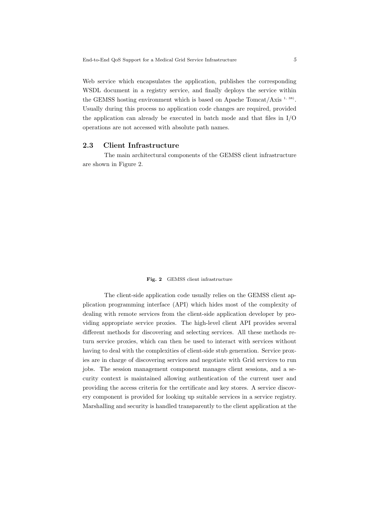Web service which encapsulates the application, publishes the corresponding WSDL document in a registry service, and finally deploys the service within the GEMSS hosting environment which is based on Apache Tomcat/Axis  $1, 38$ . Usually during this process no application code changes are required, provided the application can already be executed in batch mode and that files in I/O operations are not accessed with absolute path names.

#### 2.3 Client Infrastructure

The main architectural components of the GEMSS client infrastructure are shown in Figure 2.

#### Fig. 2 GEMSS client infrastructure

The client-side application code usually relies on the GEMSS client application programming interface (API) which hides most of the complexity of dealing with remote services from the client-side application developer by providing appropriate service proxies. The high-level client API provides several different methods for discovering and selecting services. All these methods return service proxies, which can then be used to interact with services without having to deal with the complexities of client-side stub generation. Service proxies are in charge of discovering services and negotiate with Grid services to run jobs. The session management component manages client sessions, and a security context is maintained allowing authentication of the current user and providing the access criteria for the certificate and key stores. A service discovery component is provided for looking up suitable services in a service registry. Marshalling and security is handled transparently to the client application at the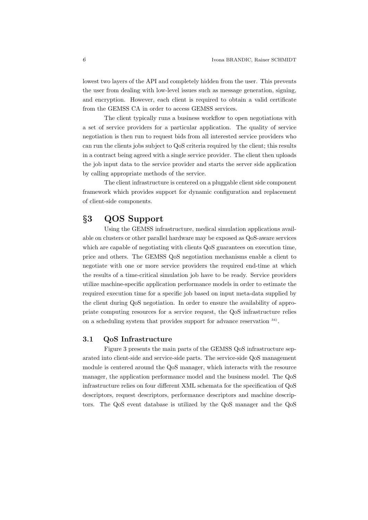lowest two layers of the API and completely hidden from the user. This prevents the user from dealing with low-level issues such as message generation, signing, and encryption. However, each client is required to obtain a valid certificate from the GEMSS CA in order to access GEMSS services.

The client typically runs a business workflow to open negotiations with a set of service providers for a particular application. The quality of service negotiation is then run to request bids from all interested service providers who can run the clients jobs subject to QoS criteria required by the client; this results in a contract being agreed with a single service provider. The client then uploads the job input data to the service provider and starts the server side application by calling appropriate methods of the service.

The client infrastructure is centered on a pluggable client side component framework which provides support for dynamic configuration and replacement of client-side components.

### §3 QOS Support

Using the GEMSS infrastructure, medical simulation applications available on clusters or other parallel hardware may be exposed as QoS-aware services which are capable of negotiating with clients QoS guarantees on execution time, price and others. The GEMSS QoS negotiation mechanisms enable a client to negotiate with one or more service providers the required end-time at which the results of a time-critical simulation job have to be ready. Service providers utilize machine-specific application performance models in order to estimate the required execution time for a specific job based on input meta-data supplied by the client during QoS negotiation. In order to ensure the availability of appropriate computing resources for a service request, the QoS infrastructure relies on a scheduling system that provides support for advance reservation  $34$ .

#### 3.1 QoS Infrastructure

Figure 3 presents the main parts of the GEMSS QoS infrastructure separated into client-side and service-side parts. The service-side QoS management module is centered around the QoS manager, which interacts with the resource manager, the application performance model and the business model. The QoS infrastructure relies on four different XML schemata for the specification of QoS descriptors, request descriptors, performance descriptors and machine descriptors. The QoS event database is utilized by the QoS manager and the QoS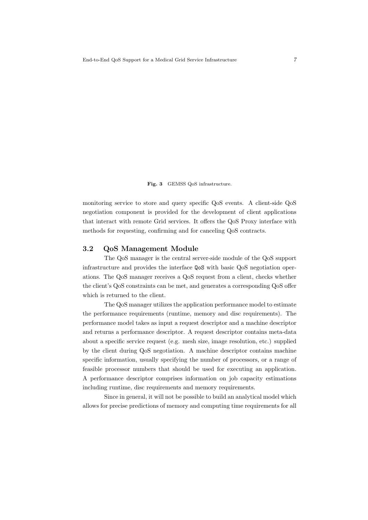Fig. 3 GEMSS QoS infrastructure.

monitoring service to store and query specific QoS events. A client-side QoS negotiation component is provided for the development of client applications that interact with remote Grid services. It offers the QoS Proxy interface with methods for requesting, confirming and for canceling QoS contracts.

### 3.2 QoS Management Module

The QoS manager is the central server-side module of the QoS support infrastructure and provides the interface QoS with basic QoS negotiation operations. The QoS manager receives a QoS request from a client, checks whether the client's QoS constraints can be met, and generates a corresponding QoS offer which is returned to the client.

The QoS manager utilizes the application performance model to estimate the performance requirements (runtime, memory and disc requirements). The performance model takes as input a request descriptor and a machine descriptor and returns a performance descriptor. A request descriptor contains meta-data about a specific service request (e.g. mesh size, image resolution, etc.) supplied by the client during QoS negotiation. A machine descriptor contains machine specific information, usually specifying the number of processors, or a range of feasible processor numbers that should be used for executing an application. A performance descriptor comprises information on job capacity estimations including runtime, disc requirements and memory requirements.

Since in general, it will not be possible to build an analytical model which allows for precise predictions of memory and computing time requirements for all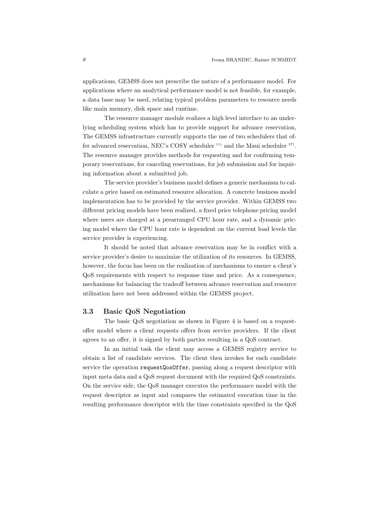applications, GEMSS does not prescribe the nature of a performance model. For applications where an analytical performance model is not feasible, for example, a data base may be used, relating typical problem parameters to resource needs like main memory, disk space and runtime.

The resource manager module realizes a high level interface to an underlying scheduling system which has to provide support for advance reservation, The GEMSS infrastructure currently supports the use of two schedulers that offer advanced reservation, NEC's COSY scheduler  $11$  and the Maui scheduler  $27$ . The resource manager provides methods for requesting and for confirming temporary reservations, for canceling reservations, for job submission and for inquiring information about a submitted job.

The service provider's business model defines a generic mechanism to calculate a price based on estimated resource allocation. A concrete business model implementation has to be provided by the service provider. Within GEMSS two different pricing models have been realized, a fixed price telephone pricing model where users are charged at a prearranged CPU hour rate, and a dynamic pricing model where the CPU hour rate is dependent on the current load levels the service provider is experiencing.

It should be noted that advance reservation may be in conflict with a service provider's desire to maximize the utilization of its resources. In GEMSS, however, the focus has been on the realization of mechanisms to ensure a client's QoS requirements with respect to response time and price. As a consequence, mechanisms for balancing the tradeoff between advance reservation and resource utilization have not been addressed within the GEMSS project.

#### 3.3 Basic QoS Negotiation

The basic QoS negotiation as shown in Figure 4 is based on a requestoffer model where a client requests offers from service providers. If the client agrees to an offer, it is signed by both parties resulting in a QoS contract.

In an initial task the client may access a GEMSS registry service to obtain a list of candidate services. The client then invokes for each candidate service the operation requestQosOffer, passing along a request descriptor with input meta data and a QoS request document with the required QoS constraints. On the service side, the QoS manager executes the performance model with the request descriptor as input and compares the estimated execution time in the resulting performance descriptor with the time constraints specified in the QoS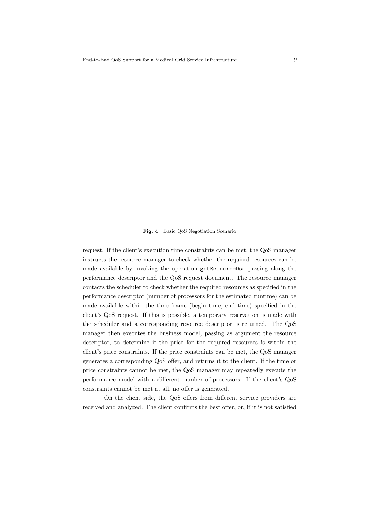#### Fig. 4 Basic QoS Negotiation Scenario

request. If the client's execution time constraints can be met, the QoS manager instructs the resource manager to check whether the required resources can be made available by invoking the operation getResourceDsc passing along the performance descriptor and the QoS request document. The resource manager contacts the scheduler to check whether the required resources as specified in the performance descriptor (number of processors for the estimated runtime) can be made available within the time frame (begin time, end time) specified in the client's QoS request. If this is possible, a temporary reservation is made with the scheduler and a corresponding resource descriptor is returned. The QoS manager then executes the business model, passing as argument the resource descriptor, to determine if the price for the required resources is within the client's price constraints. If the price constraints can be met, the QoS manager generates a corresponding QoS offer, and returns it to the client. If the time or price constraints cannot be met, the QoS manager may repeatedly execute the performance model with a different number of processors. If the client's QoS constraints cannot be met at all, no offer is generated.

On the client side, the QoS offers from different service providers are received and analyzed. The client confirms the best offer, or, if it is not satisfied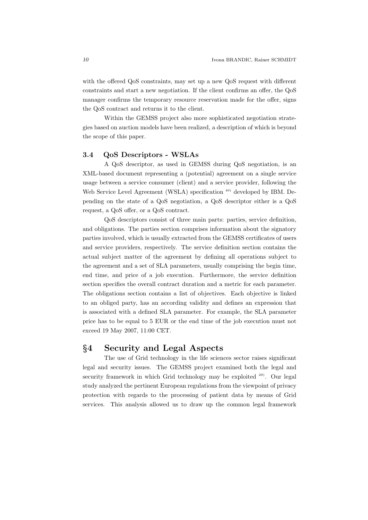with the offered QoS constraints, may set up a new QoS request with different constraints and start a new negotiation. If the client confirms an offer, the QoS manager confirms the temporary resource reservation made for the offer, signs the QoS contract and returns it to the client.

Within the GEMSS project also more sophisticated negotiation strategies based on auction models have been realized, a description of which is beyond the scope of this paper.

#### 3.4 QoS Descriptors - WSLAs

A QoS descriptor, as used in GEMSS during QoS negotiation, is an XML-based document representing a (potential) agreement on a single service usage between a service consumer (client) and a service provider, following the Web Service Level Agreement (WSLA) specification <sup>40)</sup> developed by IBM. Depending on the state of a QoS negotiation, a QoS descriptor either is a QoS request, a QoS offer, or a QoS contract.

QoS descriptors consist of three main parts: parties, service definition, and obligations. The parties section comprises information about the signatory parties involved, which is usually extracted from the GEMSS certificates of users and service providers, respectively. The service definition section contains the actual subject matter of the agreement by defining all operations subject to the agreement and a set of SLA parameters, usually comprising the begin time, end time, and price of a job execution. Furthermore, the service definition section specifies the overall contract duration and a metric for each parameter. The obligations section contains a list of objectives. Each objective is linked to an obliged party, has an according validity and defines an expression that is associated with a defined SLA parameter. For example, the SLA parameter price has to be equal to 5 EUR or the end time of the job execution must not exceed 19 May 2007, 11:00 CET.

### §4 Security and Legal Aspects

The use of Grid technology in the life sciences sector raises significant legal and security issues. The GEMSS project examined both the legal and security framework in which Grid technology may be exploited <sup>29)</sup>. Our legal study analyzed the pertinent European regulations from the viewpoint of privacy protection with regards to the processing of patient data by means of Grid services. This analysis allowed us to draw up the common legal framework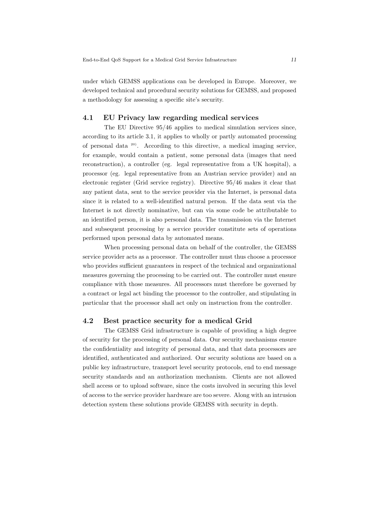under which GEMSS applications can be developed in Europe. Moreover, we developed technical and procedural security solutions for GEMSS, and proposed a methodology for assessing a specific site's security.

#### 4.1 EU Privacy law regarding medical services

The EU Directive 95/46 applies to medical simulation services since, according to its article 3.1, it applies to wholly or partly automated processing of personal data  $20$ . According to this directive, a medical imaging service, for example, would contain a patient, some personal data (images that need reconstruction), a controller (eg. legal representative from a UK hospital), a processor (eg. legal representative from an Austrian service provider) and an electronic register (Grid service registry). Directive 95/46 makes it clear that any patient data, sent to the service provider via the Internet, is personal data since it is related to a well-identified natural person. If the data sent via the Internet is not directly nominative, but can via some code be attributable to an identified person, it is also personal data. The transmission via the Internet and subsequent processing by a service provider constitute sets of operations performed upon personal data by automated means.

When processing personal data on behalf of the controller, the GEMSS service provider acts as a processor. The controller must thus choose a processor who provides sufficient guarantees in respect of the technical and organizational measures governing the processing to be carried out. The controller must ensure compliance with those measures. All processors must therefore be governed by a contract or legal act binding the processor to the controller, and stipulating in particular that the processor shall act only on instruction from the controller.

#### 4.2 Best practice security for a medical Grid

The GEMSS Grid infrastructure is capable of providing a high degree of security for the processing of personal data. Our security mechanisms ensure the confidentiality and integrity of personal data, and that data processors are identified, authenticated and authorized. Our security solutions are based on a public key infrastructure, transport level security protocols, end to end message security standards and an authorization mechanism. Clients are not allowed shell access or to upload software, since the costs involved in securing this level of access to the service provider hardware are too severe. Along with an intrusion detection system these solutions provide GEMSS with security in depth.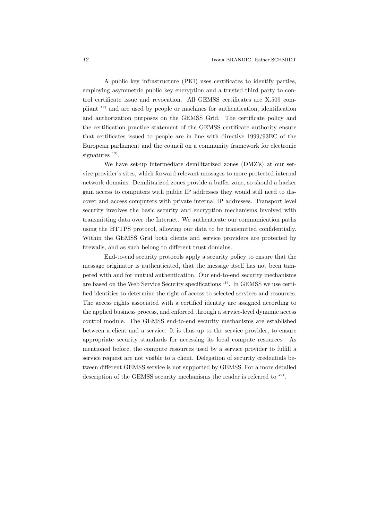A public key infrastructure (PKI) uses certificates to identify parties, employing asymmetric public key encryption and a trusted third party to control certificate issue and revocation. All GEMSS certificates are X.509 compliant 12) and are used by people or machines for authentication, identification and authorization purposes on the GEMSS Grid. The certificate policy and the certification practice statement of the GEMSS certificate authority ensure that certificates issued to people are in line with directive 1999/93EC of the European parliament and the council on a community framework for electronic signatures  $13$ .

We have set-up intermediate demilitarized zones (DMZ's) at our service provider's sites, which forward relevant messages to more protected internal network domains. Demilitarized zones provide a buffer zone, so should a hacker gain access to computers with public IP addresses they would still need to discover and access computers with private internal IP addresses. Transport level security involves the basic security and encryption mechanisms involved with transmitting data over the Internet. We authenticate our communication paths using the HTTPS protocol, allowing our data to be transmitted confidentially. Within the GEMSS Grid both clients and service providers are protected by firewalls, and as such belong to different trust domains.

End-to-end security protocols apply a security policy to ensure that the message originator is authenticated, that the message itself has not been tampered with and for mutual authentication. Our end-to-end security mechanisms are based on the Web Service Security specifications 41). In GEMSS we use certified identities to determine the right of access to selected services and resources. The access rights associated with a certified identity are assigned according to the applied business process, and enforced through a service-level dynamic access control module. The GEMSS end-to-end security mechanisms are established between a client and a service. It is thus up to the service provider, to ensure appropriate security standards for accessing its local compute resources. As mentioned before, the compute resources used by a service provider to fulfill a service request are not visible to a client. Delegation of security credentials between different GEMSS service is not supported by GEMSS. For a more detailed description of the GEMSS security mechanisms the reader is referred to <sup>29)</sup>.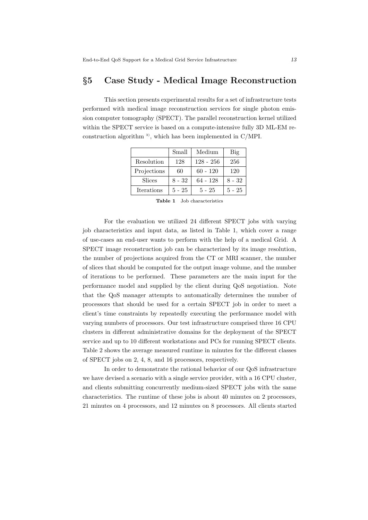## §5 Case Study - Medical Image Reconstruction

This section presents experimental results for a set of infrastructure tests performed with medical image reconstruction services for single photon emission computer tomography (SPECT). The parallel reconstruction kernel utilized within the SPECT service is based on a compute-intensive fully 3D ML-EM reconstruction algorithm  $^{3}$ , which has been implemented in C/MPI.

|             | Small    | Medium      | Big      |
|-------------|----------|-------------|----------|
| Resolution  | 128      | $128 - 256$ | 256      |
| Projections | 60       | $60 - 120$  | 120      |
| Slices      | $8 - 32$ | $64 - 128$  | 8 - 32   |
| Iterations  | $5 - 25$ | $5 - 25$    | $5 - 25$ |

Table 1 Job characteristics

For the evaluation we utilized 24 different SPECT jobs with varying job characteristics and input data, as listed in Table 1, which cover a range of use-cases an end-user wants to perform with the help of a medical Grid. A SPECT image reconstruction job can be characterized by its image resolution, the number of projections acquired from the CT or MRI scanner, the number of slices that should be computed for the output image volume, and the number of iterations to be performed. These parameters are the main input for the performance model and supplied by the client during QoS negotiation. Note that the QoS manager attempts to automatically determines the number of processors that should be used for a certain SPECT job in order to meet a client's time constraints by repeatedly executing the performance model with varying numbers of processors. Our test infrastructure comprised three 16 CPU clusters in different administrative domains for the deployment of the SPECT service and up to 10 different workstations and PCs for running SPECT clients. Table 2 shows the average measured runtime in minutes for the different classes of SPECT jobs on 2, 4, 8, and 16 processors, respectively.

In order to demonstrate the rational behavior of our QoS infrastructure we have devised a scenario with a single service provider, with a 16 CPU cluster, and clients submitting concurrently medium-sized SPECT jobs with the same characteristics. The runtime of these jobs is about 40 minutes on 2 processors, 21 minutes on 4 processors, and 12 minutes on 8 processors. All clients started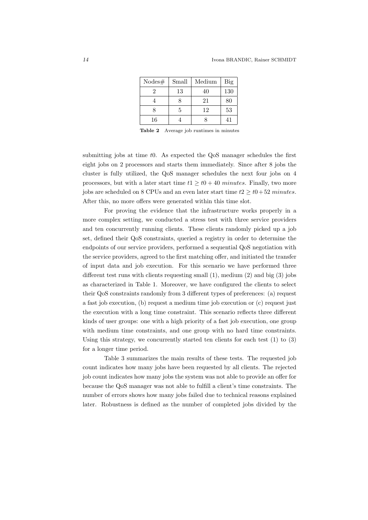| $\text{Nodes#}$ | Small | Medium | Big |
|-----------------|-------|--------|-----|
|                 | 13    | 40     | 130 |
|                 |       | 21     | 80  |
|                 | 5     | 12     | 53  |
| 16              |       |        | 41  |

Table 2 Average job runtimes in minutes

submitting jobs at time t0. As expected the QoS manager schedules the first eight jobs on 2 processors and starts them immediately. Since after 8 jobs the cluster is fully utilized, the QoS manager schedules the next four jobs on 4 processors, but with a later start time  $t_1 > t_0 + 40$  minutes. Finally, two more jobs are scheduled on 8 CPUs and an even later start time  $t2 \geq t0+52$  minutes. After this, no more offers were generated within this time slot.

For proving the evidence that the infrastructure works properly in a more complex setting, we conducted a stress test with three service providers and ten concurrently running clients. These clients randomly picked up a job set, defined their QoS constraints, queried a registry in order to determine the endpoints of our service providers, performed a sequential QoS negotiation with the service providers, agreed to the first matching offer, and initiated the transfer of input data and job execution. For this scenario we have performed three different test runs with clients requesting small (1), medium (2) and big (3) jobs as characterized in Table 1. Moreover, we have configured the clients to select their QoS constraints randomly from 3 different types of preferences: (a) request a fast job execution, (b) request a medium time job execution or (c) request just the execution with a long time constraint. This scenario reflects three different kinds of user groups: one with a high priority of a fast job execution, one group with medium time constraints, and one group with no hard time constraints. Using this strategy, we concurrently started ten clients for each test  $(1)$  to  $(3)$ for a longer time period.

Table 3 summarizes the main results of these tests. The requested job count indicates how many jobs have been requested by all clients. The rejected job count indicates how many jobs the system was not able to provide an offer for because the QoS manager was not able to fulfill a client's time constraints. The number of errors shows how many jobs failed due to technical reasons explained later. Robustness is defined as the number of completed jobs divided by the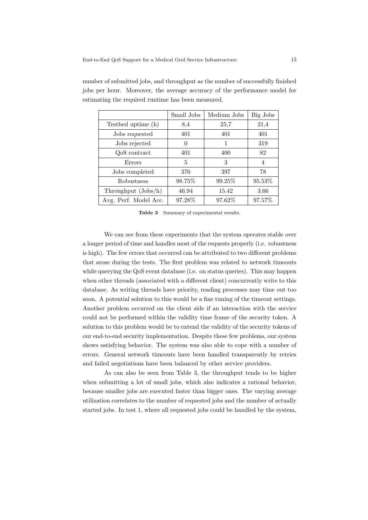|                       | Small Jobs | Medium Jobs | Big Jobs       |
|-----------------------|------------|-------------|----------------|
| Testbed uptime (h)    | 8,4        | 25,7        | 21,4           |
| Jobs requested        | 401        | 401         | 401            |
| Jobs rejected         | $\theta$   | 1           | 319            |
| QoS contract          | 401        | 400         | 82             |
| Errors                | 5          | 3           | $\overline{4}$ |
| Jobs completed        | 376        | 397         | 78             |
| Robustness            | 98.75%     | 99.25%      | 95.53%         |
| Throughput $(Jobs/h)$ | 46.94      | 15.42       | 3.66           |
| Avg. Perf. Model Acc. | 97.28%     | 97.62%      | 97.57%         |

number of submitted jobs, and throughput as the number of successfully finished jobs per hour. Moreover, the average accuracy of the performance model for estimating the required runtime has been measured.

Table 3 Summary of experimental results.

We can see from these experiments that the system operates stable over a longer period of time and handles most of the requests properly (i.e. robustness is high). The few errors that occurred can be attributed to two different problems that arose during the tests. The first problem was related to network timeouts while querying the QoS event database (i.e. on status queries). This may happen when other threads (associated with a different client) concurrently write to this database. As writing threads have priority, reading processes may time out too soon. A potential solution to this would be a fine tuning of the timeout settings. Another problem occurred on the client side if an interaction with the service could not be performed within the validity time frame of the security token. A solution to this problem would be to extend the validity of the security tokens of our end-to-end security implementation. Despite these few problems, our system shows satisfying behavior. The system was also able to cope with a number of errors. General network timeouts have been handled transparently by retries and failed negotiations have been balanced by other service providers.

As can also be seen from Table 3, the throughput tends to be higher when submitting a lot of small jobs, which also indicates a rational behavior, because smaller jobs are executed faster than bigger ones. The varying average utilization correlates to the number of requested jobs and the number of actually started jobs. In test 1, where all requested jobs could be handled by the system,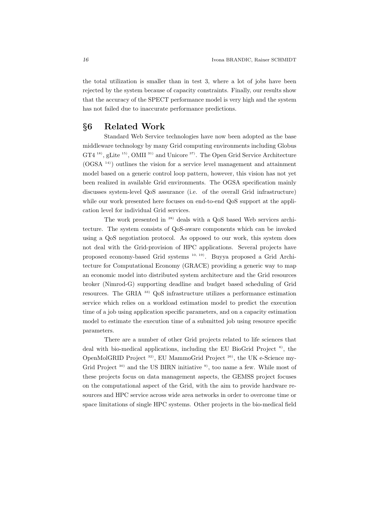the total utilization is smaller than in test 3, where a lot of jobs have been rejected by the system because of capacity constraints. Finally, our results show that the accuracy of the SPECT performance model is very high and the system has not failed due to inaccurate performance predictions.

### §6 Related Work

Standard Web Service technologies have now been adopted as the base middleware technology by many Grid computing environments including Globus GT4<sup>18)</sup>, gLite<sup>15)</sup>, OMII<sup>31)</sup> and Unicore<sup>37</sup>. The Open Grid Service Architecture (OGSA 14)) outlines the vision for a service level management and attainment model based on a generic control loop pattern, however, this vision has not yet been realized in available Grid environments. The OGSA specification mainly discusses system-level QoS assurance (i.e. of the overall Grid infrastructure) while our work presented here focuses on end-to-end QoS support at the application level for individual Grid services.

The work presented in 28) deals with a QoS based Web services architecture. The system consists of QoS-aware components which can be invoked using a QoS negotiation protocol. As opposed to our work, this system does not deal with the Grid-provision of HPC applications. Several projects have proposed economy-based Grid systems 10, 19). Buyya proposed a Grid Architecture for Computational Economy (GRACE) providing a generic way to map an economic model into distributed system architecture and the Grid resources broker (Nimrod-G) supporting deadline and budget based scheduling of Grid resources. The GRIA 33) QoS infrastructure utilizes a performance estimation service which relies on a workload estimation model to predict the execution time of a job using application specific parameters, and on a capacity estimation model to estimate the execution time of a submitted job using resource specific parameters.

There are a number of other Grid projects related to life sciences that deal with bio-medical applications, including the EU BioGrid Project  $\epsilon$ <sup>6</sup>), the OpenMolGRID Project 32), EU MammoGrid Project 26), the UK e-Science my-Grid Project  $30$  and the US BIRN initiative  $9$ , too name a few. While most of these projects focus on data management aspects, the GEMSS project focuses on the computational aspect of the Grid, with the aim to provide hardware resources and HPC service across wide area networks in order to overcome time or space limitations of single HPC systems. Other projects in the bio-medical field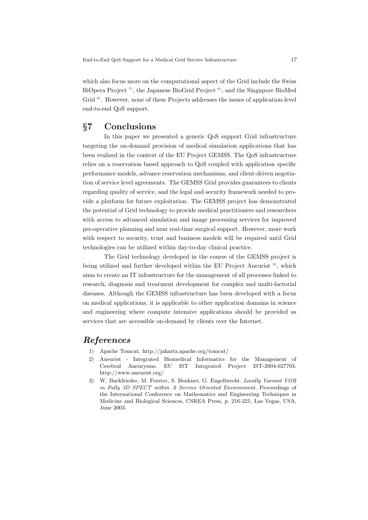which also focus more on the computational aspect of the Grid include the Swiss BiOpera Project<sup>7</sup>, the Japanese BioGrid Project<sup>6</sup>, and the Singapore BioMed Grid<sup>8)</sup>. However, none of these Projects addresses the issues of application-level end-to-end QoS support.

### §7 Conclusions

In this paper we presented a generic QoS support Grid infrastructure targeting the on-demand provision of medical simulation applications that has been realized in the context of the EU Project GEMSS. The QoS infrastructure relies on a reservation based approach to QoS coupled with application specific performance models, advance reservation mechanisms, and client-driven negotiation of service level agreements. The GEMSS Grid provides guarantees to clients regarding quality of service, and the legal and security framework needed to provide a platform for future exploitation. The GEMSS project has demonstrated the potential of Grid technology to provide medical practitioners and researchers with access to advanced simulation and image processing services for improved pre-operative planning and near real-time surgical support. However, more work with respect to security, trust and business models will be required until Grid technologies can be utilized within day-to-day clinical practice.

The Grid technology developed in the course of the GEMSS project is being utilized and further developed within the EU Project Aneurist<sup>2</sup>, which aims to create an IT infrastructure for the management of all processes linked to research, diagnosis and treatment development for complex and multi-factorial diseases. Although the GEMSS infrastructure has been developed with a focus on medical applications, it is applicable to other application domains in science and engineering where compute intensive applications should be provided as services that are accessible on-demand by clients over the Internet.

### References

- 1) Apache Tomcat. http://jakarta.apache.org/tomcat/
- 2) Aneurist Integrated Biomedical Informatics for the Management of Cerebral Aneurysms. EU IST Integrated Project IST-2004-027703. http://www.aneurist.org/
- 3) W. Backfrieder, M. Forster, S. Benkner, G. Engelbrecht. Locally Variant VOR in Fully 3D SPECT within A Service Oriented Environment. Proceedings of the International Conference on Mathematics and Engineering Techniques in Medicine and Biological Sciences, CSREA Press, p. 216-221, Las Vegas, USA, June 2003.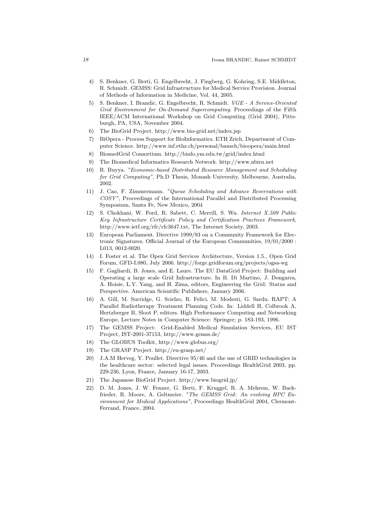- 4) S. Benkner, G. Berti, G. Engelbrecht, J. Fingberg, G. Kohring, S.E. Middleton, R. Schmidt. GEMSS: Grid Infrastructure for Medical Service Provision. Journal of Methods of Information in Medicine, Vol. 44, 2005.
- 5) S. Benkner, I. Brandic, G. Engelbrecht, R. Schmidt. VGE A Service-Oriented Grid Environment for On-Demand Supercomputing. Proceedings of the Fifth IEEE/ACM International Workshop on Grid Computing (Grid 2004), Pittsburgh, PA, USA, November 2004.
- 6) The BioGrid Project. http://www.bio-grid.net/index.jsp
- 7) BiOpera Process Support for BioInformatics. ETH Zrich, Department of Computer Science. http://www.inf.ethz.ch/personal/bausch/bioopera/main.html
- 8) BiomedGrid Consortium. http://binfo.ym.edu.tw/grid/index.html
- 9) The Biomedical Informatics Research Network. http://www.nbirn.net
- 10) R. Buyya. "Economic-based Distributed Resource Management and Scheduling for Grid Computing", Ph.D Thesis, Monash University, Melbourne, Australia, 2002.
- 11) J. Cao, F. Zimmermann. "Queue Scheduling and Advance Reservations with COSY", Proceedings of the International Parallel and Distributed Processing Symposium, Santa Fe, New Mexico, 2004
- 12) S. Chokhani, W. Ford, R. Sabett, C. Merrill, S. Wu. Internet X.509 Public Key Infrastructure Certificate Policy and Certification Practices Framework, http://www.ietf.org/rfc/rfc3647.txt, The Internet Society, 2003.
- 13) European Parliament. Directive 1999/93 on a Community Framework for Electronic Signatures. Official Journal of the European Communities, 19/01/2000 : L013, 0012-0020.
- 14) I. Foster et al. The Open Grid Services Architecture, Version 1.5., Open Grid Forum, GFD-I.080, July 2006. http://forge.gridforum.org/projects/ogsa-wg
- 15) F. Gagliardi, B. Jones, and E. Laure. The EU DataGrid Project: Building and Operating a large scale Grid Infrastructure. In B. Di Martino, J. Dongarra, A. Hoisie, L.Y. Yang, and H. Zima, editors, Engineering the Grid: Status and Perspective. American Scientific Publishers, January 2006.
- 16) A. Gill, M. Surridge, G. Scielzo, R. Felici, M. Modesti, G. Sardu. RAPT: A Parallel Radiotherapy Treatment Planning Code. In: Liddell H, Colbrook A, Hertzberger B, Sloot P, editors. High Performance Computing and Networking Europe, Lecture Notes in Computer Science: Springer; p. 183-193, 1996.
- 17) The GEMSS Project: Grid-Enabled Medical Simulation Services, EU IST Project, IST-2001-37153, http://www.gemss.de/
- 18) The GLOBUS Toolkit, http://www.globus.org/
- 19) The GRASP Project. http://eu-grasp.net/
- 20) J.A.M Herveg, Y. Poullet. Directive 95/46 and the use of GRID technologies in the healthcare sector: selected legal issues. Proceedings HealthGrid 2003, pp. 229-236, Lyon, France, January 16-17, 2003.
- 21) The Japanese BioGrid Project. http://www.biogrid.jp/
- 22) D. M. Jones, J. W. Fenner, G. Berti, F. Kruggel, R. A. Mehrem, W. Backfrieder, R. Moore, A. Geltmeier. "The GEMSS Grid: An evolving HPC Environment for Medical Applications", Proceedings HealthGrid 2004, Clermont-Ferrand, France, 2004.